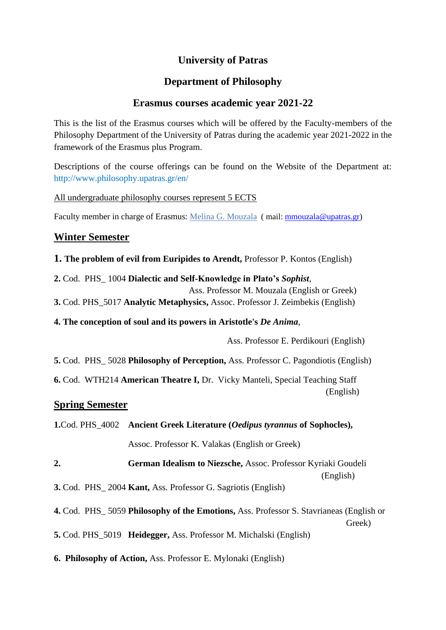# **University of Patras**

## **Department of Philosophy**

## **Erasmus courses academic year 2021-22**

This is the list of the Erasmus courses which will be offered by the Faculty-members of the Philosophy Department of the University of Patras during the academic year 2021-2022 in the framework of the Erasmus plus Program.

Descriptions of the course offerings can be found on the Website of the Department at: http://www.philosophy.upatras.gr/en/

All undergraduate philosophy courses represent 5 ECTS

Faculty member in charge of Erasmus: [Melina G. Mouzala](https://www.philosophy.upatras.gr/en/node/177) (mail: [mmouzala@upatras.gr\)](mailto:mmouzala@upatras.gr)

### **Winter Semester**

- **1. The problem of evil from Euripides to Arendt,** Professor P. Kontos (English)
- **2.** Cod. PHS\_ 1004 **Dialectic and Self-Knowledge in Plato's** *Sophist*,
	- Ass. Professor M. Mouzala (English or Greek)
- **3.** Cod. PHS\_5017 **Analytic Metaphysics,** Assoc. Professor J. Zeimbekis (English)
- **4. The conception of soul and its powers in Aristotle's** *De Anima*,

Ass. Professor E. Perdikouri (English)

**5.** Cod. PHS\_ 5028 **Philosophy of Perception,** Ass. Professor C. Pagondiotis (English)

**6.** Cod. WTH214 **American Theatre I,** Dr. Vicky Manteli, Special Teaching Staff (English)

#### **Spring Semester**

| <b>1.Cod. PHS_4002</b> Ancient Greek Literature ( <i>Oedipus tyrannus</i> of Sophocles),         |  |
|--------------------------------------------------------------------------------------------------|--|
| Assoc. Professor K. Valakas (English or Greek)                                                   |  |
| 2.<br><b>German Idealism to Niezsche, Assoc. Professor Kyriaki Goudeli</b><br>(English)          |  |
| <b>3.</b> Cod. PHS 2004 <b>Kant,</b> Ass. Professor G. Sagriotis (English)                       |  |
| 4. Cod. PHS_5059 Philosophy of the Emotions, Ass. Professor S. Stavrianeas (English or<br>Greek) |  |
| <b>5.</b> Cod. PHS_5019 <b>Heidegger</b> , Ass. Professor M. Michalski (English)                 |  |

**6. Philosophy of Action,** Ass. Professor E. Mylonaki (English)